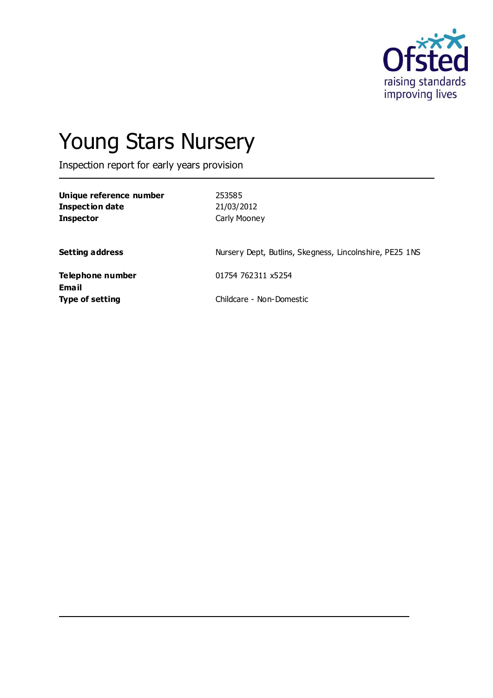

# Young Stars Nursery

Inspection report for early years provision

| Unique reference number<br><b>Inspection date</b><br><b>Inspector</b> | 253585<br>21/03/2012<br>Carly Mooney                    |
|-----------------------------------------------------------------------|---------------------------------------------------------|
| <b>Setting address</b>                                                | Nursery Dept, Butlins, Skegness, Lincolnshire, PE25 1NS |
| Telephone number                                                      | 01754 762311 x5254                                      |
| Email<br>Type of setting                                              | Childcare - Non-Domestic                                |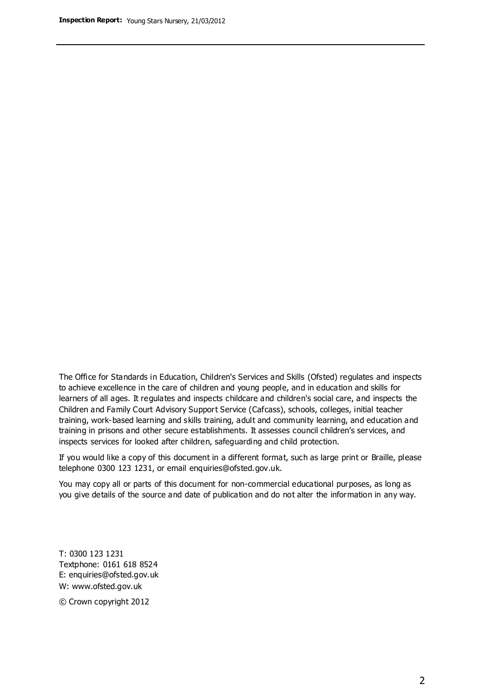The Office for Standards in Education, Children's Services and Skills (Ofsted) regulates and inspects to achieve excellence in the care of children and young people, and in education and skills for learners of all ages. It regulates and inspects childcare and children's social care, and inspects the Children and Family Court Advisory Support Service (Cafcass), schools, colleges, initial teacher training, work-based learning and skills training, adult and community learning, and education and training in prisons and other secure establishments. It assesses council children's services, and inspects services for looked after children, safeguarding and child protection.

If you would like a copy of this document in a different format, such as large print or Braille, please telephone 0300 123 1231, or email enquiries@ofsted.gov.uk.

You may copy all or parts of this document for non-commercial educational purposes, as long as you give details of the source and date of publication and do not alter the information in any way.

T: 0300 123 1231 Textphone: 0161 618 8524 E: enquiries@ofsted.gov.uk W: [www.ofsted.gov.uk](http://www.ofsted.gov.uk/)

© Crown copyright 2012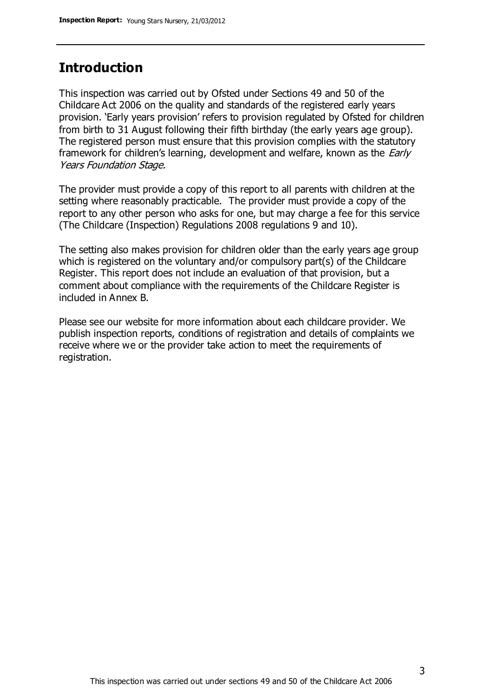# **Introduction**

This inspection was carried out by Ofsted under Sections 49 and 50 of the Childcare Act 2006 on the quality and standards of the registered early years provision. 'Early years provision' refers to provision regulated by Ofsted for children from birth to 31 August following their fifth birthday (the early years age group). The registered person must ensure that this provision complies with the statutory framework for children's learning, development and welfare, known as the *Early* Years Foundation Stage.

The provider must provide a copy of this report to all parents with children at the setting where reasonably practicable. The provider must provide a copy of the report to any other person who asks for one, but may charge a fee for this service (The Childcare (Inspection) Regulations 2008 regulations 9 and 10).

The setting also makes provision for children older than the early years age group which is registered on the voluntary and/or compulsory part(s) of the Childcare Register. This report does not include an evaluation of that provision, but a comment about compliance with the requirements of the Childcare Register is included in Annex B.

Please see our website for more information about each childcare provider. We publish inspection reports, conditions of registration and details of complaints we receive where we or the provider take action to meet the requirements of registration.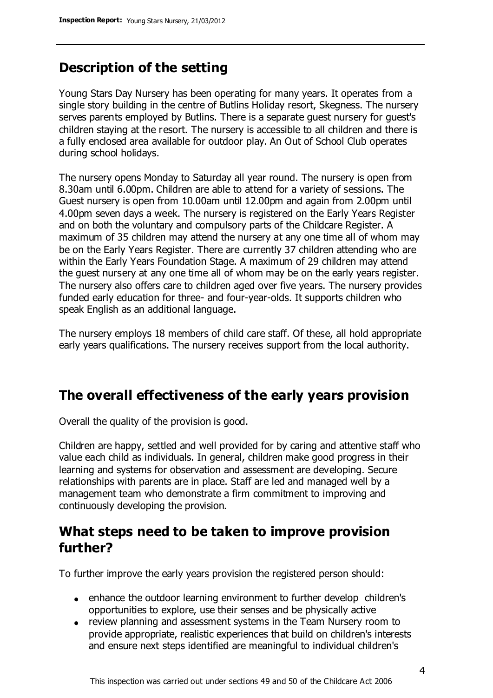# **Description of the setting**

Young Stars Day Nursery has been operating for many years. It operates from a single story building in the centre of Butlins Holiday resort, Skegness. The nursery serves parents employed by Butlins. There is a separate guest nursery for guest's children staying at the resort. The nursery is accessible to all children and there is a fully enclosed area available for outdoor play. An Out of School Club operates during school holidays.

The nursery opens Monday to Saturday all year round. The nursery is open from 8.30am until 6.00pm. Children are able to attend for a variety of sessions. The Guest nursery is open from 10.00am until 12.00pm and again from 2.00pm until 4.00pm seven days a week. The nursery is registered on the Early Years Register and on both the voluntary and compulsory parts of the Childcare Register. A maximum of 35 children may attend the nursery at any one time all of whom may be on the Early Years Register. There are currently 37 children attending who are within the Early Years Foundation Stage. A maximum of 29 children may attend the guest nursery at any one time all of whom may be on the early years register. The nursery also offers care to children aged over five years. The nursery provides funded early education for three- and four-year-olds. It supports children who speak English as an additional language.

The nursery employs 18 members of child care staff. Of these, all hold appropriate early years qualifications. The nursery receives support from the local authority.

# **The overall effectiveness of the early years provision**

Overall the quality of the provision is good.

Children are happy, settled and well provided for by caring and attentive staff who value each child as individuals. In general, children make good progress in their learning and systems for observation and assessment are developing. Secure relationships with parents are in place. Staff are led and managed well by a management team who demonstrate a firm commitment to improving and continuously developing the provision.

# **What steps need to be taken to improve provision further?**

To further improve the early years provision the registered person should:

- enhance the outdoor learning environment to further develop children's opportunities to explore, use their senses and be physically active
- review planning and assessment systems in the Team Nursery room to provide appropriate, realistic experiences that build on children's interests and ensure next steps identified are meaningful to individual children's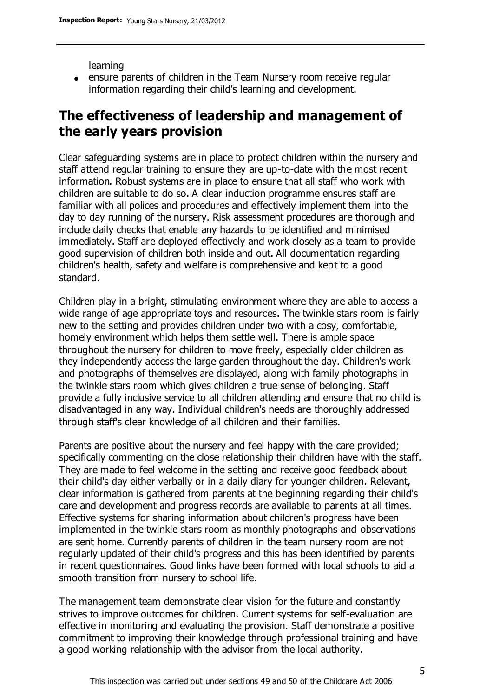learning

ensure parents of children in the Team Nursery room receive regular information regarding their child's learning and development.

# **The effectiveness of leadership and management of the early years provision**

Clear safeguarding systems are in place to protect children within the nursery and staff attend regular training to ensure they are up-to-date with the most recent information. Robust systems are in place to ensure that all staff who work with children are suitable to do so. A clear induction programme ensures staff are familiar with all polices and procedures and effectively implement them into the day to day running of the nursery. Risk assessment procedures are thorough and include daily checks that enable any hazards to be identified and minimised immediately. Staff are deployed effectively and work closely as a team to provide good supervision of children both inside and out. All documentation regarding children's health, safety and welfare is comprehensive and kept to a good standard.

Children play in a bright, stimulating environment where they are able to access a wide range of age appropriate toys and resources. The twinkle stars room is fairly new to the setting and provides children under two with a cosy, comfortable, homely environment which helps them settle well. There is ample space throughout the nursery for children to move freely, especially older children as they independently access the large garden throughout the day. Children's work and photographs of themselves are displayed, along with family photographs in the twinkle stars room which gives children a true sense of belonging. Staff provide a fully inclusive service to all children attending and ensure that no child is disadvantaged in any way. Individual children's needs are thoroughly addressed through staff's clear knowledge of all children and their families.

Parents are positive about the nursery and feel happy with the care provided; specifically commenting on the close relationship their children have with the staff. They are made to feel welcome in the setting and receive good feedback about their child's day either verbally or in a daily diary for younger children. Relevant, clear information is gathered from parents at the beginning regarding their child's care and development and progress records are available to parents at all times. Effective systems for sharing information about children's progress have been implemented in the twinkle stars room as monthly photographs and observations are sent home. Currently parents of children in the team nursery room are not regularly updated of their child's progress and this has been identified by parents in recent questionnaires. Good links have been formed with local schools to aid a smooth transition from nursery to school life.

The management team demonstrate clear vision for the future and constantly strives to improve outcomes for children. Current systems for self-evaluation are effective in monitoring and evaluating the provision. Staff demonstrate a positive commitment to improving their knowledge through professional training and have a good working relationship with the advisor from the local authority.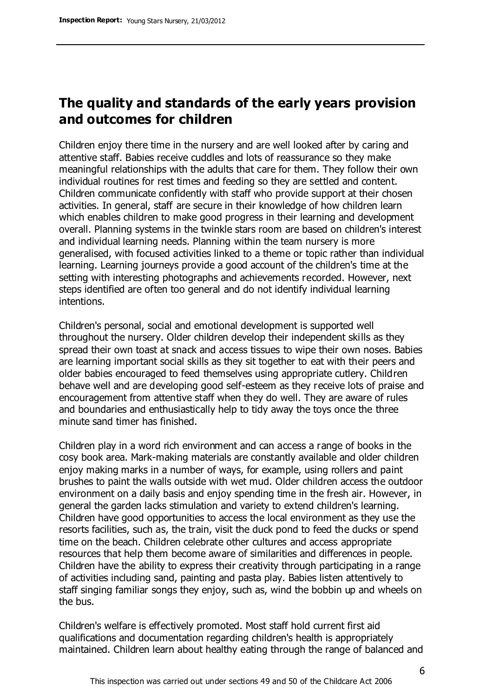# **The quality and standards of the early years provision and outcomes for children**

Children enjoy there time in the nursery and are well looked after by caring and attentive staff. Babies receive cuddles and lots of reassurance so they make meaningful relationships with the adults that care for them. They follow their own individual routines for rest times and feeding so they are settled and content. Children communicate confidently with staff who provide support at their chosen activities. In general, staff are secure in their knowledge of how children learn which enables children to make good progress in their learning and development overall. Planning systems in the twinkle stars room are based on children's interest and individual learning needs. Planning within the team nursery is more generalised, with focused activities linked to a theme or topic rather than individual learning. Learning journeys provide a good account of the children's time at the setting with interesting photographs and achievements recorded. However, next steps identified are often too general and do not identify individual learning intentions.

Children's personal, social and emotional development is supported well throughout the nursery. Older children develop their independent skills as they spread their own toast at snack and access tissues to wipe their own noses. Babies are learning important social skills as they sit together to eat with their peers and older babies encouraged to feed themselves using appropriate cutlery. Children behave well and are developing good self-esteem as they receive lots of praise and encouragement from attentive staff when they do well. They are aware of rules and boundaries and enthusiastically help to tidy away the toys once the three minute sand timer has finished.

Children play in a word rich environment and can access a range of books in the cosy book area. Mark-making materials are constantly available and older children enjoy making marks in a number of ways, for example, using rollers and paint brushes to paint the walls outside with wet mud. Older children access the outdoor environment on a daily basis and enjoy spending time in the fresh air. However, in general the garden lacks stimulation and variety to extend children's learning. Children have good opportunities to access the local environment as they use the resorts facilities, such as, the train, visit the duck pond to feed the ducks or spend time on the beach. Children celebrate other cultures and access appropriate resources that help them become aware of similarities and differences in people. Children have the ability to express their creativity through participating in a range of activities including sand, painting and pasta play. Babies listen attentively to staff singing familiar songs they enjoy, such as, wind the bobbin up and wheels on the bus.

Children's welfare is effectively promoted. Most staff hold current first aid qualifications and documentation regarding children's health is appropriately maintained. Children learn about healthy eating through the range of balanced and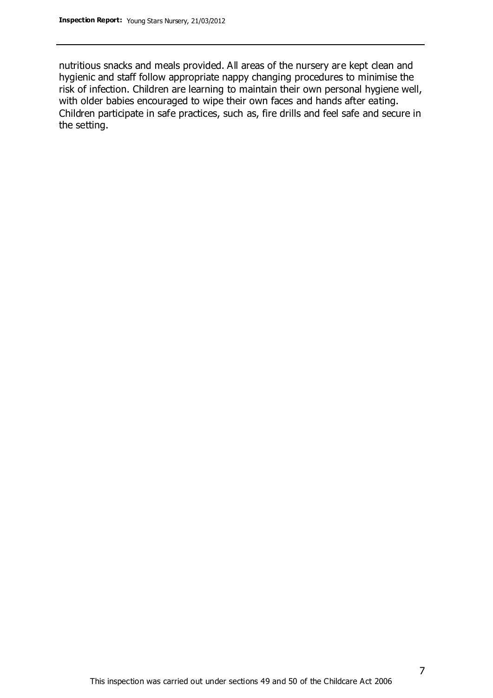nutritious snacks and meals provided. All areas of the nursery are kept clean and hygienic and staff follow appropriate nappy changing procedures to minimise the risk of infection. Children are learning to maintain their own personal hygiene well, with older babies encouraged to wipe their own faces and hands after eating. Children participate in safe practices, such as, fire drills and feel safe and secure in the setting.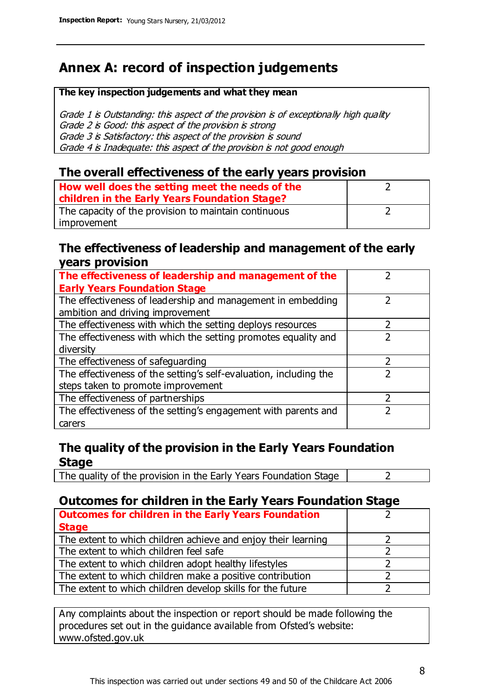# **Annex A: record of inspection judgements**

#### **The key inspection judgements and what they mean**

Grade 1 is Outstanding: this aspect of the provision is of exceptionally high quality Grade 2 is Good: this aspect of the provision is strong Grade 3 is Satisfactory: this aspect of the provision is sound Grade 4 is Inadequate: this aspect of the provision is not good enough

### **The overall effectiveness of the early years provision**

| How well does the setting meet the needs of the<br>children in the Early Years Foundation Stage? |  |
|--------------------------------------------------------------------------------------------------|--|
| The capacity of the provision to maintain continuous                                             |  |
| improvement                                                                                      |  |

#### **The effectiveness of leadership and management of the early years provision**

| The effectiveness of leadership and management of the             |               |
|-------------------------------------------------------------------|---------------|
| <b>Early Years Foundation Stage</b>                               |               |
| The effectiveness of leadership and management in embedding       |               |
| ambition and driving improvement                                  |               |
| The effectiveness with which the setting deploys resources        |               |
| The effectiveness with which the setting promotes equality and    |               |
| diversity                                                         |               |
| The effectiveness of safeguarding                                 | $\mathcal{P}$ |
| The effectiveness of the setting's self-evaluation, including the |               |
| steps taken to promote improvement                                |               |
| The effectiveness of partnerships                                 |               |
| The effectiveness of the setting's engagement with parents and    |               |
| carers                                                            |               |

## **The quality of the provision in the Early Years Foundation Stage**

The quality of the provision in the Early Years Foundation Stage  $\vert$  2

## **Outcomes for children in the Early Years Foundation Stage**

| <b>Outcomes for children in the Early Years Foundation</b>    |  |
|---------------------------------------------------------------|--|
| <b>Stage</b>                                                  |  |
| The extent to which children achieve and enjoy their learning |  |
| The extent to which children feel safe                        |  |
| The extent to which children adopt healthy lifestyles         |  |
| The extent to which children make a positive contribution     |  |
| The extent to which children develop skills for the future    |  |

Any complaints about the inspection or report should be made following the procedures set out in the guidance available from Ofsted's website: www.ofsted.gov.uk